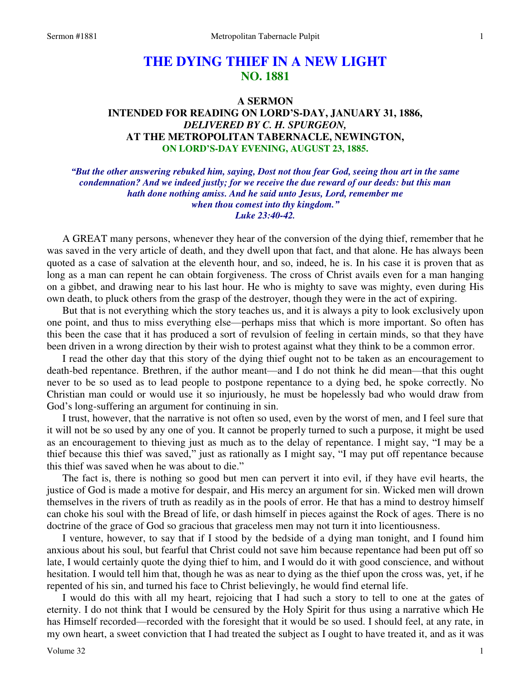## **THE DYING THIEF IN A NEW LIGHT NO. 1881**

## **A SERMON INTENDED FOR READING ON LORD'S-DAY, JANUARY 31, 1886,**  *DELIVERED BY C. H. SPURGEON,*  **AT THE METROPOLITAN TABERNACLE, NEWINGTON, ON LORD'S-DAY EVENING, AUGUST 23, 1885.**

*"But the other answering rebuked him, saying, Dost not thou fear God, seeing thou art in the same condemnation? And we indeed justly; for we receive the due reward of our deeds: but this man hath done nothing amiss. And he said unto Jesus, Lord, remember me when thou comest into thy kingdom." Luke 23:40-42.* 

A GREAT many persons, whenever they hear of the conversion of the dying thief, remember that he was saved in the very article of death, and they dwell upon that fact, and that alone. He has always been quoted as a case of salvation at the eleventh hour, and so, indeed, he is. In his case it is proven that as long as a man can repent he can obtain forgiveness. The cross of Christ avails even for a man hanging on a gibbet, and drawing near to his last hour. He who is mighty to save was mighty, even during His own death, to pluck others from the grasp of the destroyer, though they were in the act of expiring.

 But that is not everything which the story teaches us, and it is always a pity to look exclusively upon one point, and thus to miss everything else—perhaps miss that which is more important. So often has this been the case that it has produced a sort of revulsion of feeling in certain minds, so that they have been driven in a wrong direction by their wish to protest against what they think to be a common error.

 I read the other day that this story of the dying thief ought not to be taken as an encouragement to death-bed repentance. Brethren, if the author meant—and I do not think he did mean—that this ought never to be so used as to lead people to postpone repentance to a dying bed, he spoke correctly. No Christian man could or would use it so injuriously, he must be hopelessly bad who would draw from God's long-suffering an argument for continuing in sin.

 I trust, however, that the narrative is not often so used, even by the worst of men, and I feel sure that it will not be so used by any one of you. It cannot be properly turned to such a purpose, it might be used as an encouragement to thieving just as much as to the delay of repentance. I might say, "I may be a thief because this thief was saved," just as rationally as I might say, "I may put off repentance because this thief was saved when he was about to die."

 The fact is, there is nothing so good but men can pervert it into evil, if they have evil hearts, the justice of God is made a motive for despair, and His mercy an argument for sin. Wicked men will drown themselves in the rivers of truth as readily as in the pools of error. He that has a mind to destroy himself can choke his soul with the Bread of life, or dash himself in pieces against the Rock of ages. There is no doctrine of the grace of God so gracious that graceless men may not turn it into licentiousness.

 I venture, however, to say that if I stood by the bedside of a dying man tonight, and I found him anxious about his soul, but fearful that Christ could not save him because repentance had been put off so late, I would certainly quote the dying thief to him, and I would do it with good conscience, and without hesitation. I would tell him that, though he was as near to dying as the thief upon the cross was, yet, if he repented of his sin, and turned his face to Christ believingly, he would find eternal life.

 I would do this with all my heart, rejoicing that I had such a story to tell to one at the gates of eternity. I do not think that I would be censured by the Holy Spirit for thus using a narrative which He has Himself recorded—recorded with the foresight that it would be so used. I should feel, at any rate, in my own heart, a sweet conviction that I had treated the subject as I ought to have treated it, and as it was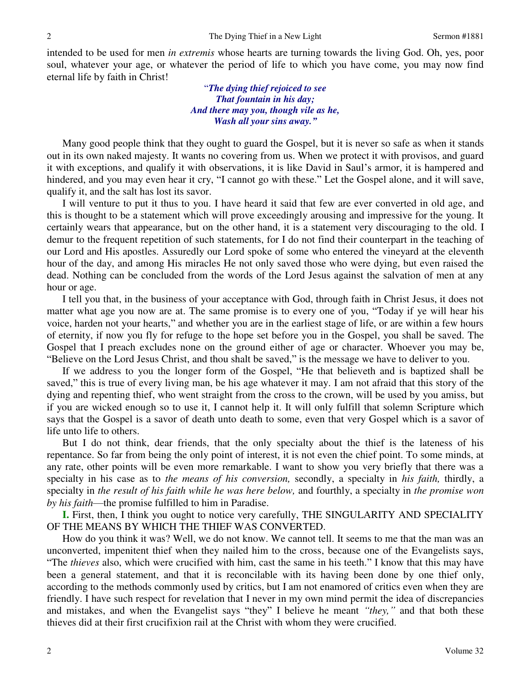intended to be used for men *in extremis* whose hearts are turning towards the living God. Oh, yes, poor soul, whatever your age, or whatever the period of life to which you have come, you may now find eternal life by faith in Christ!

> "*The dying thief rejoiced to see That fountain in his day; And there may you, though vile as he, Wash all your sins away."*

 Many good people think that they ought to guard the Gospel, but it is never so safe as when it stands out in its own naked majesty. It wants no covering from us. When we protect it with provisos, and guard it with exceptions, and qualify it with observations, it is like David in Saul's armor, it is hampered and hindered, and you may even hear it cry, "I cannot go with these." Let the Gospel alone, and it will save, qualify it, and the salt has lost its savor.

 I will venture to put it thus to you. I have heard it said that few are ever converted in old age, and this is thought to be a statement which will prove exceedingly arousing and impressive for the young. It certainly wears that appearance, but on the other hand, it is a statement very discouraging to the old. I demur to the frequent repetition of such statements, for I do not find their counterpart in the teaching of our Lord and His apostles. Assuredly our Lord spoke of some who entered the vineyard at the eleventh hour of the day, and among His miracles He not only saved those who were dying, but even raised the dead. Nothing can be concluded from the words of the Lord Jesus against the salvation of men at any hour or age.

 I tell you that, in the business of your acceptance with God, through faith in Christ Jesus, it does not matter what age you now are at. The same promise is to every one of you, "Today if ye will hear his voice, harden not your hearts," and whether you are in the earliest stage of life, or are within a few hours of eternity, if now you fly for refuge to the hope set before you in the Gospel, you shall be saved. The Gospel that I preach excludes none on the ground either of age or character. Whoever you may be, "Believe on the Lord Jesus Christ, and thou shalt be saved," is the message we have to deliver to you.

 If we address to you the longer form of the Gospel, "He that believeth and is baptized shall be saved," this is true of every living man, be his age whatever it may. I am not afraid that this story of the dying and repenting thief, who went straight from the cross to the crown, will be used by you amiss, but if you are wicked enough so to use it, I cannot help it. It will only fulfill that solemn Scripture which says that the Gospel is a savor of death unto death to some, even that very Gospel which is a savor of life unto life to others.

 But I do not think, dear friends, that the only specialty about the thief is the lateness of his repentance. So far from being the only point of interest, it is not even the chief point. To some minds, at any rate, other points will be even more remarkable. I want to show you very briefly that there was a specialty in his case as to *the means of his conversion,* secondly, a specialty in *his faith,* thirdly, a specialty in *the result of his faith while he was here below,* and fourthly, a specialty in *the promise won by his faith*—the promise fulfilled to him in Paradise.

**I.** First, then, I think you ought to notice very carefully, THE SINGULARITY AND SPECIALITY OF THE MEANS BY WHICH THE THIEF WAS CONVERTED.

 How do you think it was? Well, we do not know. We cannot tell. It seems to me that the man was an unconverted, impenitent thief when they nailed him to the cross, because one of the Evangelists says, "The *thieves* also, which were crucified with him, cast the same in his teeth." I know that this may have been a general statement, and that it is reconcilable with its having been done by one thief only, according to the methods commonly used by critics, but I am not enamored of critics even when they are friendly. I have such respect for revelation that I never in my own mind permit the idea of discrepancies and mistakes, and when the Evangelist says "they" I believe he meant *"they,"* and that both these thieves did at their first crucifixion rail at the Christ with whom they were crucified.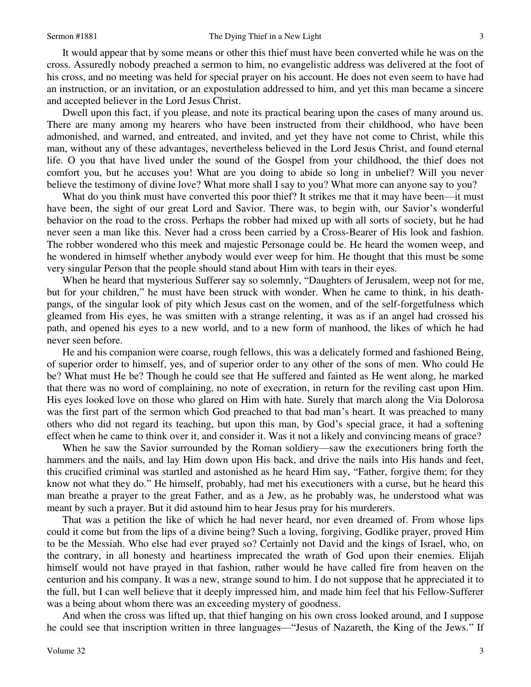It would appear that by some means or other this thief must have been converted while he was on the cross. Assuredly nobody preached a sermon to him, no evangelistic address was delivered at the foot of his cross, and no meeting was held for special prayer on his account. He does not even seem to have had an instruction, or an invitation, or an expostulation addressed to him, and yet this man became a sincere and accepted believer in the Lord Jesus Christ.

 Dwell upon this fact, if you please, and note its practical bearing upon the cases of many around us. There are many among my hearers who have been instructed from their childhood, who have been admonished, and warned, and entreated, and invited, and yet they have not come to Christ, while this man, without any of these advantages, nevertheless believed in the Lord Jesus Christ, and found eternal life. O you that have lived under the sound of the Gospel from your childhood, the thief does not comfort you, but he accuses you! What are you doing to abide so long in unbelief? Will you never believe the testimony of divine love? What more shall I say to you? What more can anyone say to you?

What do you think must have converted this poor thief? It strikes me that it may have been—it must have been, the sight of our great Lord and Savior. There was, to begin with, our Savior's wonderful behavior on the road to the cross. Perhaps the robber had mixed up with all sorts of society, but he had never seen a man like this. Never had a cross been carried by a Cross-Bearer of His look and fashion. The robber wondered who this meek and majestic Personage could be. He heard the women weep, and he wondered in himself whether anybody would ever weep for him. He thought that this must be some very singular Person that the people should stand about Him with tears in their eyes.

 When he heard that mysterious Sufferer say so solemnly, "Daughters of Jerusalem, weep not for me, but for your children," he must have been struck with wonder. When he came to think, in his deathpangs, of the singular look of pity which Jesus cast on the women, and of the self-forgetfulness which gleamed from His eyes, he was smitten with a strange relenting, it was as if an angel had crossed his path, and opened his eyes to a new world, and to a new form of manhood, the likes of which he had never seen before.

 He and his companion were coarse, rough fellows, this was a delicately formed and fashioned Being, of superior order to himself, yes, and of superior order to any other of the sons of men. Who could He be? What must He be? Though he could see that He suffered and fainted as He went along, he marked that there was no word of complaining, no note of execration, in return for the reviling cast upon Him. His eyes looked love on those who glared on Him with hate. Surely that march along the Via Dolorosa was the first part of the sermon which God preached to that bad man's heart. It was preached to many others who did not regard its teaching, but upon this man, by God's special grace, it had a softening effect when he came to think over it, and consider it. Was it not a likely and convincing means of grace?

 When he saw the Savior surrounded by the Roman soldiery—saw the executioners bring forth the hammers and the nails, and lay Him down upon His back, and drive the nails into His hands and feet, this crucified criminal was startled and astonished as he heard Him say, "Father, forgive them; for they know not what they do." He himself, probably, had met his executioners with a curse, but he heard this man breathe a prayer to the great Father, and as a Jew, as he probably was, he understood what was meant by such a prayer. But it did astound him to hear Jesus pray for his murderers.

 That was a petition the like of which he had never heard, nor even dreamed of. From whose lips could it come but from the lips of a divine being? Such a loving, forgiving, Godlike prayer, proved Him to be the Messiah. Who else had ever prayed so? Certainly not David and the kings of Israel, who, on the contrary, in all honesty and heartiness imprecated the wrath of God upon their enemies. Elijah himself would not have prayed in that fashion, rather would he have called fire from heaven on the centurion and his company. It was a new, strange sound to him. I do not suppose that he appreciated it to the full, but I can well believe that it deeply impressed him, and made him feel that his Fellow-Sufferer was a being about whom there was an exceeding mystery of goodness.

 And when the cross was lifted up, that thief hanging on his own cross looked around, and I suppose he could see that inscription written in three languages—"Jesus of Nazareth, the King of the Jews." If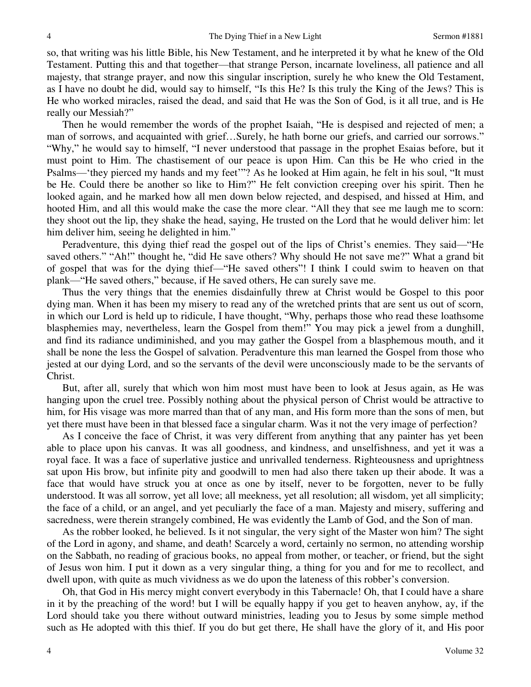so, that writing was his little Bible, his New Testament, and he interpreted it by what he knew of the Old Testament. Putting this and that together—that strange Person, incarnate loveliness, all patience and all majesty, that strange prayer, and now this singular inscription, surely he who knew the Old Testament, as I have no doubt he did, would say to himself, "Is this He? Is this truly the King of the Jews? This is He who worked miracles, raised the dead, and said that He was the Son of God, is it all true, and is He really our Messiah?"

 Then he would remember the words of the prophet Isaiah, "He is despised and rejected of men; a man of sorrows, and acquainted with grief…Surely, he hath borne our griefs, and carried our sorrows." "Why," he would say to himself, "I never understood that passage in the prophet Esaias before, but it must point to Him. The chastisement of our peace is upon Him. Can this be He who cried in the Psalms—'they pierced my hands and my feet'"? As he looked at Him again, he felt in his soul, "It must be He. Could there be another so like to Him?" He felt conviction creeping over his spirit. Then he looked again, and he marked how all men down below rejected, and despised, and hissed at Him, and hooted Him, and all this would make the case the more clear. "All they that see me laugh me to scorn: they shoot out the lip, they shake the head, saying, He trusted on the Lord that he would deliver him: let him deliver him, seeing he delighted in him."

 Peradventure, this dying thief read the gospel out of the lips of Christ's enemies. They said—"He saved others." "Ah!" thought he, "did He save others? Why should He not save me?" What a grand bit of gospel that was for the dying thief—"He saved others"! I think I could swim to heaven on that plank—"He saved others," because, if He saved others, He can surely save me.

 Thus the very things that the enemies disdainfully threw at Christ would be Gospel to this poor dying man. When it has been my misery to read any of the wretched prints that are sent us out of scorn, in which our Lord is held up to ridicule, I have thought, "Why, perhaps those who read these loathsome blasphemies may, nevertheless, learn the Gospel from them!" You may pick a jewel from a dunghill, and find its radiance undiminished, and you may gather the Gospel from a blasphemous mouth, and it shall be none the less the Gospel of salvation. Peradventure this man learned the Gospel from those who jested at our dying Lord, and so the servants of the devil were unconsciously made to be the servants of Christ.

 But, after all, surely that which won him most must have been to look at Jesus again, as He was hanging upon the cruel tree. Possibly nothing about the physical person of Christ would be attractive to him, for His visage was more marred than that of any man, and His form more than the sons of men, but yet there must have been in that blessed face a singular charm. Was it not the very image of perfection?

 As I conceive the face of Christ, it was very different from anything that any painter has yet been able to place upon his canvas. It was all goodness, and kindness, and unselfishness, and yet it was a royal face. It was a face of superlative justice and unrivalled tenderness. Righteousness and uprightness sat upon His brow, but infinite pity and goodwill to men had also there taken up their abode. It was a face that would have struck you at once as one by itself, never to be forgotten, never to be fully understood. It was all sorrow, yet all love; all meekness, yet all resolution; all wisdom, yet all simplicity; the face of a child, or an angel, and yet peculiarly the face of a man. Majesty and misery, suffering and sacredness, were therein strangely combined, He was evidently the Lamb of God, and the Son of man.

 As the robber looked, he believed. Is it not singular, the very sight of the Master won him? The sight of the Lord in agony, and shame, and death! Scarcely a word, certainly no sermon, no attending worship on the Sabbath, no reading of gracious books, no appeal from mother, or teacher, or friend, but the sight of Jesus won him. I put it down as a very singular thing, a thing for you and for me to recollect, and dwell upon, with quite as much vividness as we do upon the lateness of this robber's conversion.

 Oh, that God in His mercy might convert everybody in this Tabernacle! Oh, that I could have a share in it by the preaching of the word! but I will be equally happy if you get to heaven anyhow, ay, if the Lord should take you there without outward ministries, leading you to Jesus by some simple method such as He adopted with this thief. If you do but get there, He shall have the glory of it, and His poor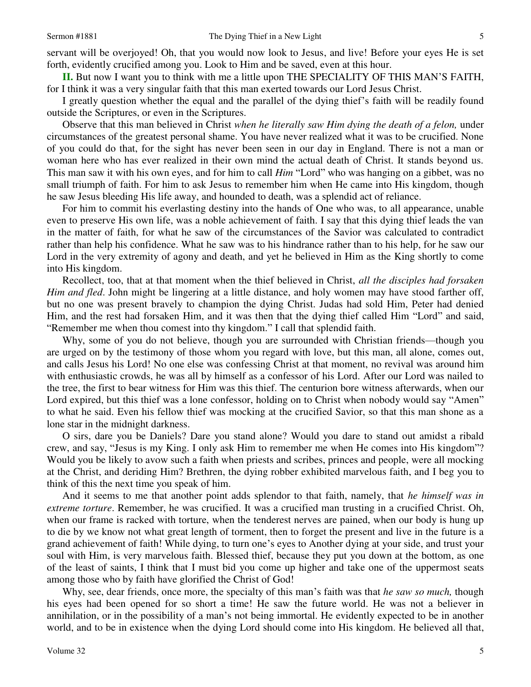servant will be overjoyed! Oh, that you would now look to Jesus, and live! Before your eyes He is set forth, evidently crucified among you. Look to Him and be saved, even at this hour.

**II.** But now I want you to think with me a little upon THE SPECIALITY OF THIS MAN'S FAITH, for I think it was a very singular faith that this man exerted towards our Lord Jesus Christ.

 I greatly question whether the equal and the parallel of the dying thief's faith will be readily found outside the Scriptures, or even in the Scriptures.

 Observe that this man believed in Christ *when he literally saw Him dying the death of a felon,* under circumstances of the greatest personal shame. You have never realized what it was to be crucified. None of you could do that, for the sight has never been seen in our day in England. There is not a man or woman here who has ever realized in their own mind the actual death of Christ. It stands beyond us. This man saw it with his own eyes, and for him to call *Him* "Lord" who was hanging on a gibbet, was no small triumph of faith. For him to ask Jesus to remember him when He came into His kingdom, though he saw Jesus bleeding His life away, and hounded to death, was a splendid act of reliance.

 For him to commit his everlasting destiny into the hands of One who was, to all appearance, unable even to preserve His own life, was a noble achievement of faith. I say that this dying thief leads the van in the matter of faith, for what he saw of the circumstances of the Savior was calculated to contradict rather than help his confidence. What he saw was to his hindrance rather than to his help, for he saw our Lord in the very extremity of agony and death, and yet he believed in Him as the King shortly to come into His kingdom.

 Recollect, too, that at that moment when the thief believed in Christ, *all the disciples had forsaken Him and fled*. John might be lingering at a little distance, and holy women may have stood farther off, but no one was present bravely to champion the dying Christ. Judas had sold Him, Peter had denied Him, and the rest had forsaken Him, and it was then that the dying thief called Him "Lord" and said, "Remember me when thou comest into thy kingdom." I call that splendid faith.

 Why, some of you do not believe, though you are surrounded with Christian friends—though you are urged on by the testimony of those whom you regard with love, but this man, all alone, comes out, and calls Jesus his Lord! No one else was confessing Christ at that moment, no revival was around him with enthusiastic crowds, he was all by himself as a confessor of his Lord. After our Lord was nailed to the tree, the first to bear witness for Him was this thief. The centurion bore witness afterwards, when our Lord expired, but this thief was a lone confessor, holding on to Christ when nobody would say "Amen" to what he said. Even his fellow thief was mocking at the crucified Savior, so that this man shone as a lone star in the midnight darkness.

 O sirs, dare you be Daniels? Dare you stand alone? Would you dare to stand out amidst a ribald crew, and say, "Jesus is my King. I only ask Him to remember me when He comes into His kingdom"? Would you be likely to avow such a faith when priests and scribes, princes and people, were all mocking at the Christ, and deriding Him? Brethren, the dying robber exhibited marvelous faith, and I beg you to think of this the next time you speak of him.

 And it seems to me that another point adds splendor to that faith, namely, that *he himself was in extreme torture*. Remember, he was crucified. It was a crucified man trusting in a crucified Christ. Oh, when our frame is racked with torture, when the tenderest nerves are pained, when our body is hung up to die by we know not what great length of torment, then to forget the present and live in the future is a grand achievement of faith! While dying, to turn one's eyes to Another dying at your side, and trust your soul with Him, is very marvelous faith. Blessed thief, because they put you down at the bottom, as one of the least of saints, I think that I must bid you come up higher and take one of the uppermost seats among those who by faith have glorified the Christ of God!

 Why, see, dear friends, once more, the specialty of this man's faith was that *he saw so much,* though his eyes had been opened for so short a time! He saw the future world. He was not a believer in annihilation, or in the possibility of a man's not being immortal. He evidently expected to be in another world, and to be in existence when the dying Lord should come into His kingdom. He believed all that,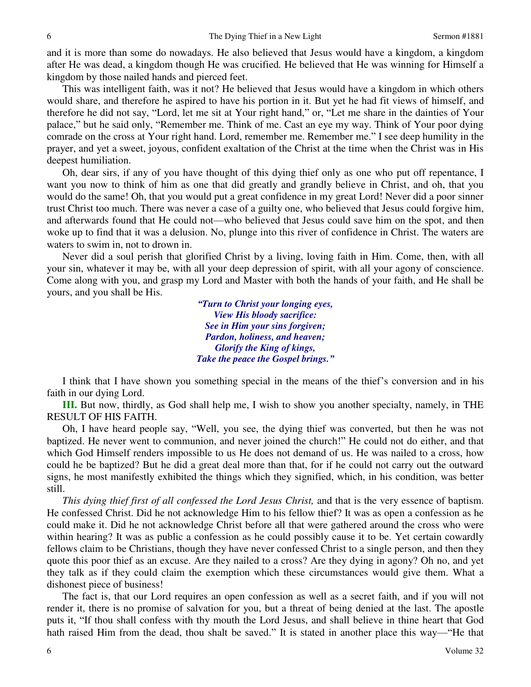and it is more than some do nowadays. He also believed that Jesus would have a kingdom, a kingdom after He was dead, a kingdom though He was crucified*.* He believed that He was winning for Himself a kingdom by those nailed hands and pierced feet.

 This was intelligent faith, was it not? He believed that Jesus would have a kingdom in which others would share, and therefore he aspired to have his portion in it. But yet he had fit views of himself, and therefore he did not say, "Lord, let me sit at Your right hand," or, "Let me share in the dainties of Your palace," but he said only, "Remember me. Think of me. Cast an eye my way. Think of Your poor dying comrade on the cross at Your right hand. Lord, remember me. Remember me." I see deep humility in the prayer, and yet a sweet, joyous, confident exaltation of the Christ at the time when the Christ was in His deepest humiliation.

 Oh, dear sirs, if any of you have thought of this dying thief only as one who put off repentance, I want you now to think of him as one that did greatly and grandly believe in Christ, and oh, that you would do the same! Oh, that you would put a great confidence in my great Lord! Never did a poor sinner trust Christ too much. There was never a case of a guilty one, who believed that Jesus could forgive him, and afterwards found that He could not—who believed that Jesus could save him on the spot, and then woke up to find that it was a delusion. No, plunge into this river of confidence in Christ. The waters are waters to swim in, not to drown in.

 Never did a soul perish that glorified Christ by a living, loving faith in Him. Come, then, with all your sin, whatever it may be, with all your deep depression of spirit, with all your agony of conscience. Come along with you, and grasp my Lord and Master with both the hands of your faith, and He shall be yours, and you shall be His.

> *"Turn to Christ your longing eyes, View His bloody sacrifice: See in Him your sins forgiven; Pardon, holiness, and heaven; Glorify the King of kings, Take the peace the Gospel brings."*

I think that I have shown you something special in the means of the thief's conversion and in his faith in our dying Lord.

**III.** But now, thirdly, as God shall help me, I wish to show you another specialty, namely, in THE RESULT OF HIS FAITH.

 Oh, I have heard people say, "Well, you see, the dying thief was converted, but then he was not baptized. He never went to communion, and never joined the church!" He could not do either, and that which God Himself renders impossible to us He does not demand of us. He was nailed to a cross, how could he be baptized? But he did a great deal more than that, for if he could not carry out the outward signs, he most manifestly exhibited the things which they signified, which, in his condition, was better still.

*This dying thief first of all confessed the Lord Jesus Christ,* and that is the very essence of baptism. He confessed Christ. Did he not acknowledge Him to his fellow thief? It was as open a confession as he could make it. Did he not acknowledge Christ before all that were gathered around the cross who were within hearing? It was as public a confession as he could possibly cause it to be. Yet certain cowardly fellows claim to be Christians, though they have never confessed Christ to a single person, and then they quote this poor thief as an excuse. Are they nailed to a cross? Are they dying in agony? Oh no, and yet they talk as if they could claim the exemption which these circumstances would give them. What a dishonest piece of business!

 The fact is, that our Lord requires an open confession as well as a secret faith, and if you will not render it, there is no promise of salvation for you, but a threat of being denied at the last. The apostle puts it, "If thou shall confess with thy mouth the Lord Jesus, and shall believe in thine heart that God hath raised Him from the dead, thou shalt be saved." It is stated in another place this way—"He that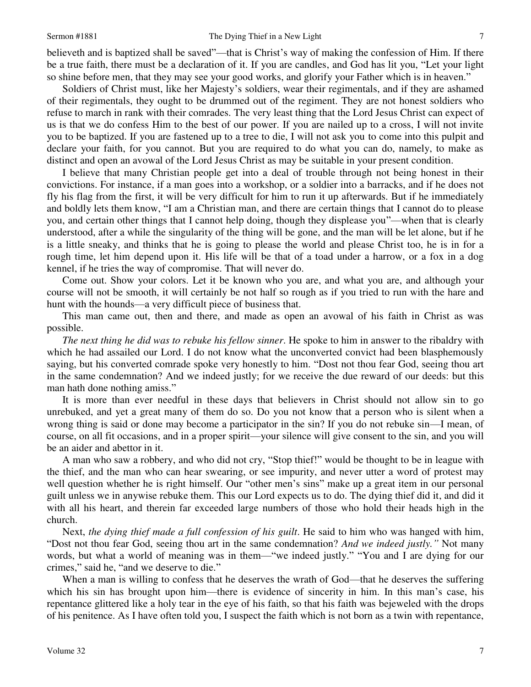believeth and is baptized shall be saved"—that is Christ's way of making the confession of Him. If there be a true faith, there must be a declaration of it. If you are candles, and God has lit you, "Let your light so shine before men, that they may see your good works, and glorify your Father which is in heaven."

Soldiers of Christ must, like her Majesty's soldiers, wear their regimentals, and if they are ashamed of their regimentals, they ought to be drummed out of the regiment. They are not honest soldiers who refuse to march in rank with their comrades. The very least thing that the Lord Jesus Christ can expect of us is that we do confess Him to the best of our power. If you are nailed up to a cross, I will not invite you to be baptized. If you are fastened up to a tree to die, I will not ask you to come into this pulpit and declare your faith, for you cannot. But you are required to do what you can do, namely, to make as distinct and open an avowal of the Lord Jesus Christ as may be suitable in your present condition.

 I believe that many Christian people get into a deal of trouble through not being honest in their convictions. For instance, if a man goes into a workshop, or a soldier into a barracks, and if he does not fly his flag from the first, it will be very difficult for him to run it up afterwards. But if he immediately and boldly lets them know, "I am a Christian man, and there are certain things that I cannot do to please you, and certain other things that I cannot help doing, though they displease you"—when that is clearly understood, after a while the singularity of the thing will be gone, and the man will be let alone, but if he is a little sneaky, and thinks that he is going to please the world and please Christ too, he is in for a rough time, let him depend upon it. His life will be that of a toad under a harrow, or a fox in a dog kennel, if he tries the way of compromise. That will never do.

 Come out. Show your colors. Let it be known who you are, and what you are, and although your course will not be smooth, it will certainly be not half so rough as if you tried to run with the hare and hunt with the hounds—a very difficult piece of business that.

 This man came out, then and there, and made as open an avowal of his faith in Christ as was possible.

*The next thing he did was to rebuke his fellow sinner*. He spoke to him in answer to the ribaldry with which he had assailed our Lord. I do not know what the unconverted convict had been blasphemously saying, but his converted comrade spoke very honestly to him. "Dost not thou fear God, seeing thou art in the same condemnation? And we indeed justly; for we receive the due reward of our deeds: but this man hath done nothing amiss."

 It is more than ever needful in these days that believers in Christ should not allow sin to go unrebuked, and yet a great many of them do so. Do you not know that a person who is silent when a wrong thing is said or done may become a participator in the sin? If you do not rebuke sin—I mean, of course, on all fit occasions, and in a proper spirit—your silence will give consent to the sin, and you will be an aider and abettor in it.

 A man who saw a robbery, and who did not cry, "Stop thief!" would be thought to be in league with the thief, and the man who can hear swearing, or see impurity, and never utter a word of protest may well question whether he is right himself. Our "other men's sins" make up a great item in our personal guilt unless we in anywise rebuke them. This our Lord expects us to do. The dying thief did it, and did it with all his heart, and therein far exceeded large numbers of those who hold their heads high in the church.

 Next, *the dying thief made a full confession of his guilt*. He said to him who was hanged with him, "Dost not thou fear God, seeing thou art in the same condemnation? *And we indeed justly."* Not many words, but what a world of meaning was in them—"we indeed justly." "You and I are dying for our crimes," said he, "and we deserve to die."

When a man is willing to confess that he deserves the wrath of God—that he deserves the suffering which his sin has brought upon him—there is evidence of sincerity in him. In this man's case, his repentance glittered like a holy tear in the eye of his faith, so that his faith was bejeweled with the drops of his penitence. As I have often told you, I suspect the faith which is not born as a twin with repentance,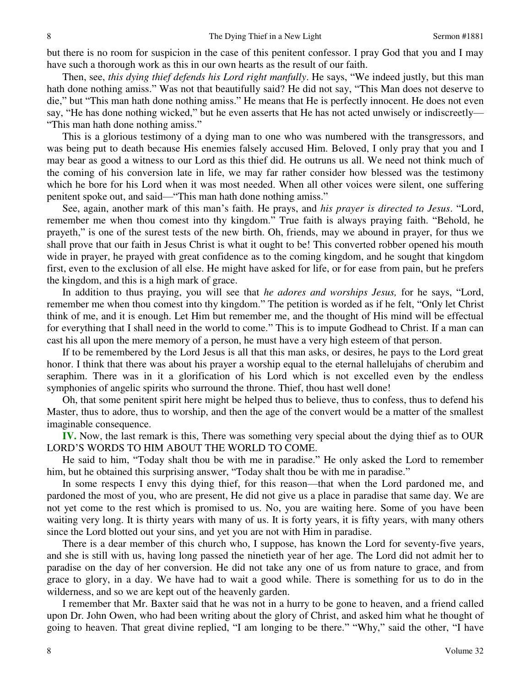but there is no room for suspicion in the case of this penitent confessor. I pray God that you and I may have such a thorough work as this in our own hearts as the result of our faith.

Then, see, *this dying thief defends his Lord right manfully*. He says, "We indeed justly, but this man hath done nothing amiss." Was not that beautifully said? He did not say, "This Man does not deserve to die," but "This man hath done nothing amiss." He means that He is perfectly innocent. He does not even say, "He has done nothing wicked," but he even asserts that He has not acted unwisely or indiscreetly— "This man hath done nothing amiss."

 This is a glorious testimony of a dying man to one who was numbered with the transgressors, and was being put to death because His enemies falsely accused Him. Beloved, I only pray that you and I may bear as good a witness to our Lord as this thief did. He outruns us all. We need not think much of the coming of his conversion late in life, we may far rather consider how blessed was the testimony which he bore for his Lord when it was most needed. When all other voices were silent, one suffering penitent spoke out, and said—"This man hath done nothing amiss."

 See, again, another mark of this man's faith. He prays, and *his prayer is directed to Jesus*. "Lord, remember me when thou comest into thy kingdom." True faith is always praying faith. "Behold, he prayeth," is one of the surest tests of the new birth. Oh, friends, may we abound in prayer, for thus we shall prove that our faith in Jesus Christ is what it ought to be! This converted robber opened his mouth wide in prayer, he prayed with great confidence as to the coming kingdom, and he sought that kingdom first, even to the exclusion of all else. He might have asked for life, or for ease from pain, but he prefers the kingdom, and this is a high mark of grace.

 In addition to thus praying, you will see that *he adores and worships Jesus,* for he says, "Lord, remember me when thou comest into thy kingdom." The petition is worded as if he felt, "Only let Christ think of me, and it is enough. Let Him but remember me, and the thought of His mind will be effectual for everything that I shall need in the world to come." This is to impute Godhead to Christ. If a man can cast his all upon the mere memory of a person, he must have a very high esteem of that person.

 If to be remembered by the Lord Jesus is all that this man asks, or desires, he pays to the Lord great honor. I think that there was about his prayer a worship equal to the eternal hallelujahs of cherubim and seraphim. There was in it a glorification of his Lord which is not excelled even by the endless symphonies of angelic spirits who surround the throne. Thief, thou hast well done!

 Oh, that some penitent spirit here might be helped thus to believe, thus to confess, thus to defend his Master, thus to adore, thus to worship, and then the age of the convert would be a matter of the smallest imaginable consequence.

**IV.** Now, the last remark is this, There was something very special about the dying thief as to OUR LORD'S WORDS TO HIM ABOUT THE WORLD TO COME.

 He said to him, "Today shalt thou be with me in paradise." He only asked the Lord to remember him, but he obtained this surprising answer, "Today shalt thou be with me in paradise."

 In some respects I envy this dying thief, for this reason—that when the Lord pardoned me, and pardoned the most of you, who are present, He did not give us a place in paradise that same day. We are not yet come to the rest which is promised to us. No, you are waiting here. Some of you have been waiting very long. It is thirty years with many of us. It is forty years, it is fifty years, with many others since the Lord blotted out your sins, and yet you are not with Him in paradise.

 There is a dear member of this church who, I suppose, has known the Lord for seventy-five years, and she is still with us, having long passed the ninetieth year of her age. The Lord did not admit her to paradise on the day of her conversion. He did not take any one of us from nature to grace, and from grace to glory, in a day. We have had to wait a good while. There is something for us to do in the wilderness, and so we are kept out of the heavenly garden.

 I remember that Mr. Baxter said that he was not in a hurry to be gone to heaven, and a friend called upon Dr. John Owen, who had been writing about the glory of Christ, and asked him what he thought of going to heaven. That great divine replied, "I am longing to be there." "Why," said the other, "I have